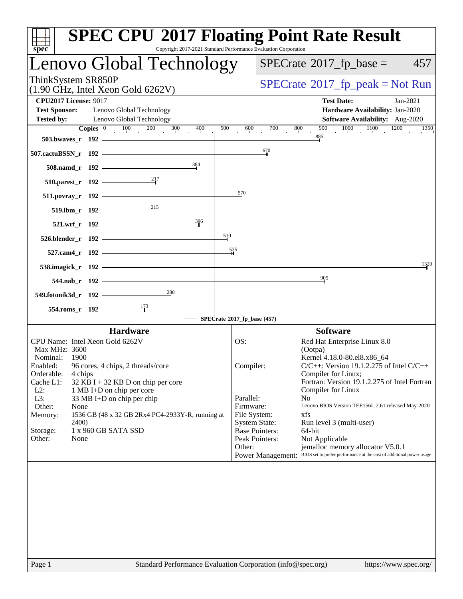| spec <sup>®</sup>                                                         |                |                                                             | <b>SPEC CPU®2017 Floating Point Rate Result</b><br>Copyright 2017-2021 Standard Performance Evaluation Corporation |     |                                      |     |                     |                                                                                         |              |
|---------------------------------------------------------------------------|----------------|-------------------------------------------------------------|--------------------------------------------------------------------------------------------------------------------|-----|--------------------------------------|-----|---------------------|-----------------------------------------------------------------------------------------|--------------|
|                                                                           |                |                                                             | Lenovo Global Technology                                                                                           |     |                                      |     |                     | $SPECrate^{\circ}2017$ _fp_base =                                                       | 457          |
| ThinkSystem SR850P                                                        |                | $(1.90 \text{ GHz}, \text{Intel Xeon Gold } 6262 \text{V})$ |                                                                                                                    |     |                                      |     |                     | $SPECrate^{\circ}2017$ _fp_peak = Not Run                                               |              |
| <b>CPU2017 License: 9017</b><br><b>Test Sponsor:</b><br><b>Tested by:</b> |                | Lenovo Global Technology<br>Lenovo Global Technology        |                                                                                                                    |     |                                      |     |                     | <b>Test Date:</b><br>Hardware Availability: Jan-2020<br>Software Availability: Aug-2020 | $Jan-2021$   |
|                                                                           | Copies $ 0 $   | $\frac{100}{100}$                                           | 200<br>300<br>400                                                                                                  | 500 | 600                                  | 700 | 800<br>900          | $1000$ $1100$                                                                           | 1200<br>1350 |
| 503.bwaves_r 192                                                          |                |                                                             |                                                                                                                    |     |                                      |     | 885                 |                                                                                         |              |
| 507.cactuBSSN_r 192                                                       |                |                                                             |                                                                                                                    |     |                                      | 670 |                     |                                                                                         |              |
|                                                                           | 508.namd_r 192 |                                                             | 384                                                                                                                |     |                                      |     |                     |                                                                                         |              |
| $510.parest_r$ 192                                                        |                |                                                             | 217                                                                                                                |     |                                      |     |                     |                                                                                         |              |
| $511. povray_r$ 192                                                       |                |                                                             |                                                                                                                    |     | 570                                  |     |                     |                                                                                         |              |
|                                                                           | 519.lbm_r 192  |                                                             | 215                                                                                                                |     |                                      |     |                     |                                                                                         |              |
|                                                                           | 521.wrf_r 192  |                                                             | 396                                                                                                                |     |                                      |     |                     |                                                                                         |              |
| 526.blender_r 192                                                         |                |                                                             |                                                                                                                    | 510 |                                      |     |                     |                                                                                         |              |
|                                                                           | 527.cam4_r 192 |                                                             |                                                                                                                    | 535 |                                      |     |                     |                                                                                         |              |
| 538.imagick_r 192                                                         |                |                                                             |                                                                                                                    |     |                                      |     |                     |                                                                                         | 1320         |
|                                                                           |                |                                                             |                                                                                                                    |     |                                      |     | 905                 |                                                                                         |              |
|                                                                           | 544.nab_r 192  |                                                             | $\frac{280}{4}$                                                                                                    |     |                                      |     |                     |                                                                                         |              |
| 549.fotonik3d_r 192                                                       |                |                                                             |                                                                                                                    |     |                                      |     |                     |                                                                                         |              |
|                                                                           | 554.roms_r 192 |                                                             | $\frac{173}{ }$                                                                                                    |     | SPECrate®2017_fp_base (457)          |     |                     |                                                                                         |              |
|                                                                           |                | <b>Hardware</b>                                             |                                                                                                                    |     |                                      |     | <b>Software</b>     |                                                                                         |              |
|                                                                           |                | CPU Name: Intel Xeon Gold 6262V                             |                                                                                                                    |     | OS:                                  |     |                     | Red Hat Enterprise Linux 8.0                                                            |              |
| Max MHz: 3600<br>Nominal:                                                 | - 1900         |                                                             |                                                                                                                    |     |                                      |     | (Ootpa)             | Kernel 4.18.0-80.el8.x86_64                                                             |              |
|                                                                           |                | Enabled: 96 cores, 4 chips, 2 threads/core                  |                                                                                                                    |     | Compiler:                            |     |                     | $C/C++$ : Version 19.1.2.275 of Intel $C/C++$                                           |              |
| Orderable:<br>Cache L1:                                                   | 4 chips        | $32$ KB I + 32 KB D on chip per core                        |                                                                                                                    |     |                                      |     | Compiler for Linux; | Fortran: Version 19.1.2.275 of Intel Fortran                                            |              |
| $L2$ :                                                                    |                | 1 MB I+D on chip per core                                   |                                                                                                                    |     |                                      |     | Compiler for Linux  |                                                                                         |              |
| L3:<br>Other:                                                             | None           | 33 MB I+D on chip per chip                                  |                                                                                                                    |     | Parallel:<br>Firmware:               |     | N <sub>0</sub>      | Lenovo BIOS Version TEE156L 2.61 released May-2020                                      |              |
| Memory:                                                                   | 2400)          |                                                             | 1536 GB (48 x 32 GB 2Rx4 PC4-2933Y-R, running at                                                                   |     | File System:<br><b>System State:</b> |     | xfs                 |                                                                                         |              |
| Storage:                                                                  |                | 1 x 960 GB SATA SSD                                         |                                                                                                                    |     | <b>Base Pointers:</b>                |     | 64-bit              | Run level 3 (multi-user)                                                                |              |
| Other:                                                                    | None           |                                                             |                                                                                                                    |     | Peak Pointers:<br>Other:             |     | Not Applicable      | jemalloc memory allocator V5.0.1                                                        |              |
|                                                                           |                |                                                             |                                                                                                                    |     |                                      |     |                     | Power Management: BIOS set to prefer performance at the cost of additional power usage  |              |
|                                                                           |                |                                                             |                                                                                                                    |     |                                      |     |                     |                                                                                         |              |
|                                                                           |                |                                                             |                                                                                                                    |     |                                      |     |                     |                                                                                         |              |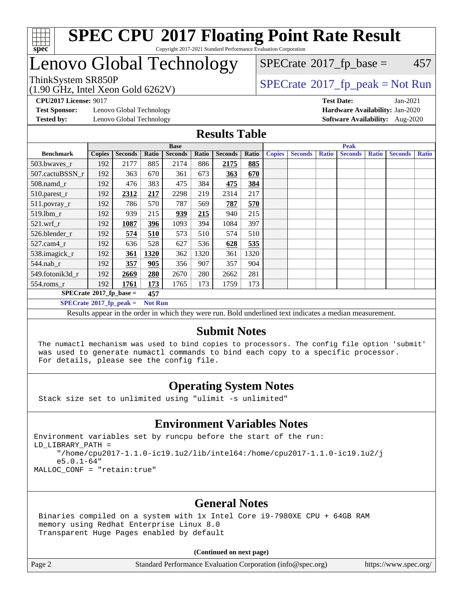

## Lenovo Global Technology

(1.90 GHz, Intel Xeon Gold 6262V)

ThinkSystem SR850P<br>(1.90  $\overline{C}$ H<sub>2</sub> Intel Yean Gold 6262V)  $SPECTate$ <sup>®</sup>[2017\\_fp\\_base =](http://www.spec.org/auto/cpu2017/Docs/result-fields.html#SPECrate2017fpbase) 457

**[Test Sponsor:](http://www.spec.org/auto/cpu2017/Docs/result-fields.html#TestSponsor)** Lenovo Global Technology **[Hardware Availability:](http://www.spec.org/auto/cpu2017/Docs/result-fields.html#HardwareAvailability)** Jan-2020 **[Tested by:](http://www.spec.org/auto/cpu2017/Docs/result-fields.html#Testedby)** Lenovo Global Technology **[Software Availability:](http://www.spec.org/auto/cpu2017/Docs/result-fields.html#SoftwareAvailability)** Aug-2020

**[CPU2017 License:](http://www.spec.org/auto/cpu2017/Docs/result-fields.html#CPU2017License)** 9017 **[Test Date:](http://www.spec.org/auto/cpu2017/Docs/result-fields.html#TestDate)** Jan-2021

## **[Results Table](http://www.spec.org/auto/cpu2017/Docs/result-fields.html#ResultsTable)**

|                             | <b>Base</b>   |                |                |                | <b>Peak</b> |                |       |               |                |              |                |              |                |              |
|-----------------------------|---------------|----------------|----------------|----------------|-------------|----------------|-------|---------------|----------------|--------------|----------------|--------------|----------------|--------------|
| <b>Benchmark</b>            | <b>Copies</b> | <b>Seconds</b> | Ratio          | <b>Seconds</b> | Ratio       | <b>Seconds</b> | Ratio | <b>Copies</b> | <b>Seconds</b> | <b>Ratio</b> | <b>Seconds</b> | <b>Ratio</b> | <b>Seconds</b> | <b>Ratio</b> |
| 503.bwayes_r                | 192           | 2177           | 885            | 2174           | 886         | 2175           | 885   |               |                |              |                |              |                |              |
| 507.cactuBSSN r             | 192           | 363            | 670            | 361            | 673         | 363            | 670   |               |                |              |                |              |                |              |
| $508$ .namd $r$             | 192           | 476            | 383            | 475            | 384         | 475            | 384   |               |                |              |                |              |                |              |
| 510.parest_r                | 192           | 2312           | 217            | 2298           | 219         | 2314           | 217   |               |                |              |                |              |                |              |
| 511.povray_r                | 192           | 786            | 570            | 787            | 569         | 787            | 570   |               |                |              |                |              |                |              |
| 519.1bm r                   | 192           | 939            | 215            | 939            | 215         | 940            | 215   |               |                |              |                |              |                |              |
| $521$ .wrf r                | 192           | 1087           | 396            | 1093           | 394         | 1084           | 397   |               |                |              |                |              |                |              |
| 526.blender_r               | 192           | 574            | 510            | 573            | 510         | 574            | 510   |               |                |              |                |              |                |              |
| $527$ .cam $4r$             | 192           | 636            | 528            | 627            | 536         | 628            | 535   |               |                |              |                |              |                |              |
| 538.imagick_r               | 192           | 361            | 1320           | 362            | 1320        | 361            | 1320  |               |                |              |                |              |                |              |
| $544$ .nab_r                | 192           | 357            | 905            | 356            | 907         | 357            | 904   |               |                |              |                |              |                |              |
| 549.fotonik3d r             | 192           | 2669           | 280            | 2670           | 280         | 2662           | 281   |               |                |              |                |              |                |              |
| $554$ .roms_r               | 192           | 1761           | 173            | 1765           | 173         | 1759           | 173   |               |                |              |                |              |                |              |
| $SPECrate*2017_fp\_base =$  |               |                | 457            |                |             |                |       |               |                |              |                |              |                |              |
| $SPECrate^*2017_fp\_peak =$ |               |                | <b>Not Run</b> |                |             |                |       |               |                |              |                |              |                |              |

Results appear in the [order in which they were run](http://www.spec.org/auto/cpu2017/Docs/result-fields.html#RunOrder). Bold underlined text [indicates a median measurement.](http://www.spec.org/auto/cpu2017/Docs/result-fields.html#Median)

#### **[Submit Notes](http://www.spec.org/auto/cpu2017/Docs/result-fields.html#SubmitNotes)**

 The numactl mechanism was used to bind copies to processors. The config file option 'submit' was used to generate numactl commands to bind each copy to a specific processor. For details, please see the config file.

## **[Operating System Notes](http://www.spec.org/auto/cpu2017/Docs/result-fields.html#OperatingSystemNotes)**

Stack size set to unlimited using "ulimit -s unlimited"

## **[Environment Variables Notes](http://www.spec.org/auto/cpu2017/Docs/result-fields.html#EnvironmentVariablesNotes)**

Environment variables set by runcpu before the start of the run: LD\_LIBRARY\_PATH = "/home/cpu2017-1.1.0-ic19.1u2/lib/intel64:/home/cpu2017-1.1.0-ic19.1u2/j e5.0.1-64" MALLOC\_CONF = "retain:true"

## **[General Notes](http://www.spec.org/auto/cpu2017/Docs/result-fields.html#GeneralNotes)**

 Binaries compiled on a system with 1x Intel Core i9-7980XE CPU + 64GB RAM memory using Redhat Enterprise Linux 8.0 Transparent Huge Pages enabled by default

#### **(Continued on next page)**

Page 2 Standard Performance Evaluation Corporation [\(info@spec.org\)](mailto:info@spec.org) <https://www.spec.org/>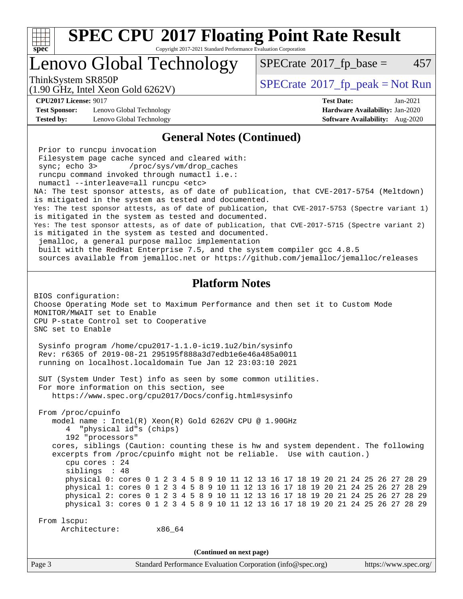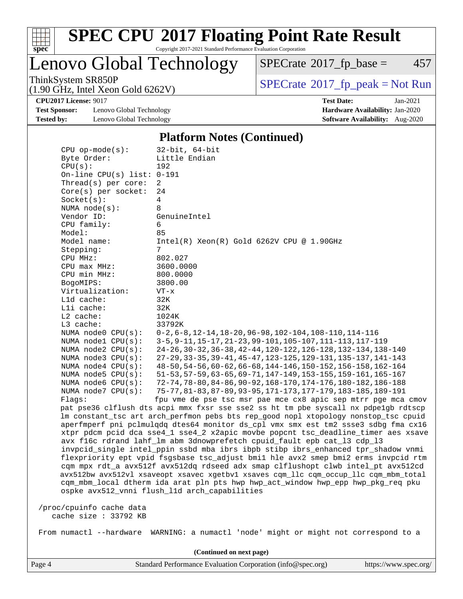

# **[SPEC CPU](http://www.spec.org/auto/cpu2017/Docs/result-fields.html#SPECCPU2017FloatingPointRateResult)[2017 Floating Point Rate Result](http://www.spec.org/auto/cpu2017/Docs/result-fields.html#SPECCPU2017FloatingPointRateResult)**

Copyright 2017-2021 Standard Performance Evaluation Corporation

Lenovo Global Technology

 $SPECTate@2017_fp\_base = 457$ 

(1.90 GHz, Intel Xeon Gold 6262V)

ThinkSystem SR850P<br>(1.90 GHz, Intel Xeon Gold 6262V) [SPECrate](http://www.spec.org/auto/cpu2017/Docs/result-fields.html#SPECrate2017fppeak)®[2017\\_fp\\_peak = N](http://www.spec.org/auto/cpu2017/Docs/result-fields.html#SPECrate2017fppeak)ot Run

**[CPU2017 License:](http://www.spec.org/auto/cpu2017/Docs/result-fields.html#CPU2017License)** 9017 **[Test Date:](http://www.spec.org/auto/cpu2017/Docs/result-fields.html#TestDate)** Jan-2021

**[Test Sponsor:](http://www.spec.org/auto/cpu2017/Docs/result-fields.html#TestSponsor)** Lenovo Global Technology **[Hardware Availability:](http://www.spec.org/auto/cpu2017/Docs/result-fields.html#HardwareAvailability)** Jan-2020 **[Tested by:](http://www.spec.org/auto/cpu2017/Docs/result-fields.html#Testedby)** Lenovo Global Technology **[Software Availability:](http://www.spec.org/auto/cpu2017/Docs/result-fields.html#SoftwareAvailability)** Aug-2020

#### **[Platform Notes \(Continued\)](http://www.spec.org/auto/cpu2017/Docs/result-fields.html#PlatformNotes)**

| $CPU$ op-mode( $s$ ):    |                              | $32$ -bit, $64$ -bit                                                                 |
|--------------------------|------------------------------|--------------------------------------------------------------------------------------|
| Byte Order:              |                              | Little Endian                                                                        |
| CPU(s):                  |                              | 192                                                                                  |
|                          | On-line CPU(s) list: $0-191$ |                                                                                      |
| Thread(s) per core:      |                              | 2                                                                                    |
| $Core(s)$ per socket:    |                              | 24                                                                                   |
| Socket(s):               |                              | 4                                                                                    |
| NUMA node(s):            |                              | 8                                                                                    |
| Vendor ID:               |                              | GenuineIntel                                                                         |
| CPU family:              |                              | 6                                                                                    |
| Model:                   |                              | 85                                                                                   |
| Model name:              |                              | $Intel(R) Xeon(R) Gold 6262V CPU @ 1.90GHz$                                          |
| Stepping:                |                              | 7                                                                                    |
| CPU MHz:                 |                              | 802.027                                                                              |
| CPU max MHz:             |                              | 3600.0000                                                                            |
| CPU min MHz:             |                              | 800.0000                                                                             |
| BogoMIPS:                |                              | 3800.00                                                                              |
| Virtualization:          |                              | $VT - x$                                                                             |
| L1d cache:               |                              | 32K                                                                                  |
| Lli cache:               |                              | 32K                                                                                  |
| $L2$ cache:              |                              | 1024K                                                                                |
| $L3$ cache:              |                              | 33792K                                                                               |
| NUMA node0 CPU(s):       |                              | $0-2, 6-8, 12-14, 18-20, 96-98, 102-104, 108-110, 114-116$                           |
|                          |                              | 3-5, 9-11, 15-17, 21-23, 99-101, 105-107, 111-113, 117-119                           |
| NUMA nodel CPU(s):       |                              | 24-26, 30-32, 36-38, 42-44, 120-122, 126-128, 132-134, 138-140                       |
| NUMA $node2$ $CPU(s):$   |                              |                                                                                      |
| NUMA $node3$ $CPU(s):$   |                              | 27-29, 33-35, 39-41, 45-47, 123-125, 129-131, 135-137, 141-143                       |
| NUMA node4 CPU(s):       |                              | 48-50, 54-56, 60-62, 66-68, 144-146, 150-152, 156-158, 162-164                       |
| NUMA node5 CPU(s):       |                              | 51-53, 57-59, 63-65, 69-71, 147-149, 153-155, 159-161, 165-167                       |
| NUMA node6 $CPU(s):$     |                              | 72-74, 78-80, 84-86, 90-92, 168-170, 174-176, 180-182, 186-188                       |
| NUMA $node7$ CPU $(s)$ : |                              | 75-77, 81-83, 87-89, 93-95, 171-173, 177-179, 183-185, 189-191                       |
| Flaqs:                   |                              | fpu vme de pse tsc msr pae mce cx8 apic sep mtrr pge mca cmov                        |
|                          |                              | pat pse36 clflush dts acpi mmx fxsr sse sse2 ss ht tm pbe syscall nx pdpelgb rdtscp  |
|                          |                              | lm constant_tsc art arch_perfmon pebs bts rep_good nopl xtopology nonstop_tsc cpuid  |
|                          |                              | aperfmperf pni pclmulqdq dtes64 monitor ds_cpl vmx smx est tm2 ssse3 sdbg fma cx16   |
|                          |                              | xtpr pdcm pcid dca sse4_1 sse4_2 x2apic movbe popcnt tsc_deadline_timer aes xsave    |
|                          |                              | avx f16c rdrand lahf_lm abm 3dnowprefetch cpuid_fault epb cat_13 cdp_13              |
|                          |                              | invpcid_single intel_ppin ssbd mba ibrs ibpb stibp ibrs_enhanced tpr_shadow vnmi     |
|                          |                              | flexpriority ept vpid fsgsbase tsc_adjust bmil hle avx2 smep bmi2 erms invpcid rtm   |
|                          |                              | cqm mpx rdt_a avx512f avx512dq rdseed adx smap clflushopt clwb intel_pt avx512cd     |
|                          |                              | avx512bw avx512vl xsaveopt xsavec xgetbvl xsaves cqm_llc cqm_occup_llc cqm_mbm_total |
|                          |                              | cqm_mbm_local dtherm ida arat pln pts hwp hwp_act_window hwp_epp hwp_pkg_req pku     |
|                          |                              | ospke avx512_vnni flush_l1d arch_capabilities                                        |
|                          |                              |                                                                                      |
| /proc/cpuinfo cache data |                              |                                                                                      |
| cache size : 33792 KB    |                              |                                                                                      |
|                          |                              |                                                                                      |
| From numactl --hardware  |                              | WARNING: a numactl 'node' might or might not correspond to a                         |

Page 4 Standard Performance Evaluation Corporation [\(info@spec.org\)](mailto:info@spec.org) <https://www.spec.org/> **(Continued on next page)**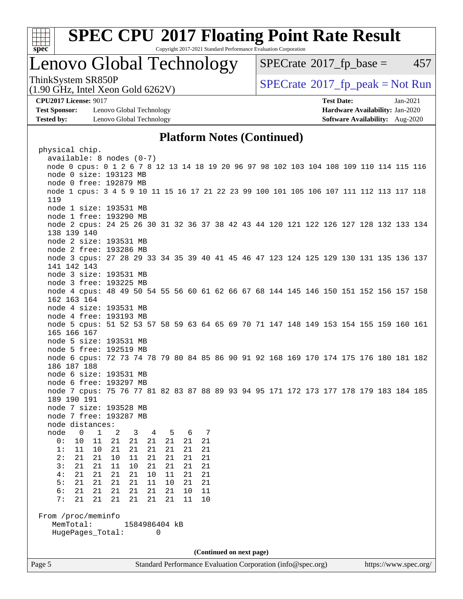

# **[SPEC CPU](http://www.spec.org/auto/cpu2017/Docs/result-fields.html#SPECCPU2017FloatingPointRateResult)[2017 Floating Point Rate Result](http://www.spec.org/auto/cpu2017/Docs/result-fields.html#SPECCPU2017FloatingPointRateResult)**

Copyright 2017-2021 Standard Performance Evaluation Corporation

## Lenovo Global Technology

 $SPECTate@2017<sub>fr</sub> base = 457$ 

ThinkSystem SR850P<br>(1.00 CHz, Intel Year Gald 6262V) [SPECrate](http://www.spec.org/auto/cpu2017/Docs/result-fields.html#SPECrate2017fppeak)®[2017\\_fp\\_peak = N](http://www.spec.org/auto/cpu2017/Docs/result-fields.html#SPECrate2017fppeak)ot Run

**[Test Sponsor:](http://www.spec.org/auto/cpu2017/Docs/result-fields.html#TestSponsor)** Lenovo Global Technology **[Hardware Availability:](http://www.spec.org/auto/cpu2017/Docs/result-fields.html#HardwareAvailability)** Jan-2020 **[Tested by:](http://www.spec.org/auto/cpu2017/Docs/result-fields.html#Testedby)** Lenovo Global Technology **[Software Availability:](http://www.spec.org/auto/cpu2017/Docs/result-fields.html#SoftwareAvailability)** Aug-2020

(1.90 GHz, Intel Xeon Gold 6262V)

**[CPU2017 License:](http://www.spec.org/auto/cpu2017/Docs/result-fields.html#CPU2017License)** 9017 **[Test Date:](http://www.spec.org/auto/cpu2017/Docs/result-fields.html#TestDate)** Jan-2021

## **[Platform Notes \(Continued\)](http://www.spec.org/auto/cpu2017/Docs/result-fields.html#PlatformNotes)**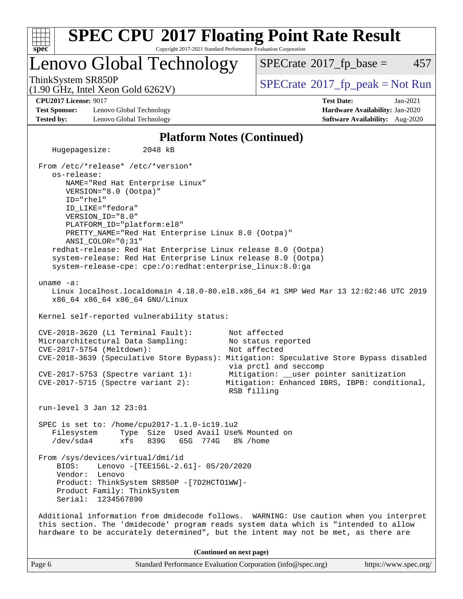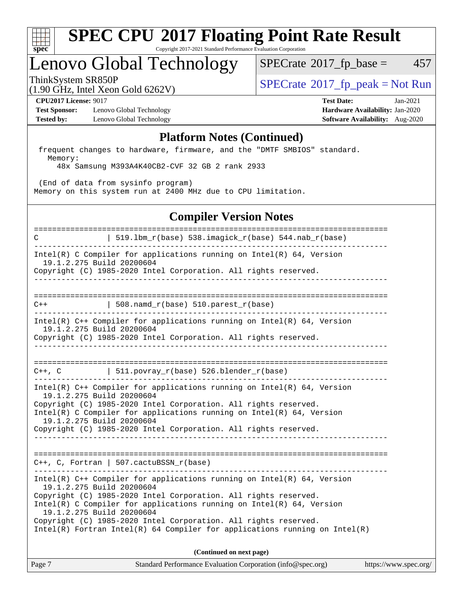

## Lenovo Global Technology

 $SPECTate$ <sup>®</sup>[2017\\_fp\\_base =](http://www.spec.org/auto/cpu2017/Docs/result-fields.html#SPECrate2017fpbase) 457

(1.90 GHz, Intel Xeon Gold 6262V)

ThinkSystem SR850P<br>(1.00 CHz, Intel Year Gald 6262V) [SPECrate](http://www.spec.org/auto/cpu2017/Docs/result-fields.html#SPECrate2017fppeak)®[2017\\_fp\\_peak = N](http://www.spec.org/auto/cpu2017/Docs/result-fields.html#SPECrate2017fppeak)ot Run

**[Test Sponsor:](http://www.spec.org/auto/cpu2017/Docs/result-fields.html#TestSponsor)** Lenovo Global Technology **[Hardware Availability:](http://www.spec.org/auto/cpu2017/Docs/result-fields.html#HardwareAvailability)** Jan-2020 **[Tested by:](http://www.spec.org/auto/cpu2017/Docs/result-fields.html#Testedby)** Lenovo Global Technology **[Software Availability:](http://www.spec.org/auto/cpu2017/Docs/result-fields.html#SoftwareAvailability)** Aug-2020

**[CPU2017 License:](http://www.spec.org/auto/cpu2017/Docs/result-fields.html#CPU2017License)** 9017 **[Test Date:](http://www.spec.org/auto/cpu2017/Docs/result-fields.html#TestDate)** Jan-2021

### **[Platform Notes \(Continued\)](http://www.spec.org/auto/cpu2017/Docs/result-fields.html#PlatformNotes)**

 frequent changes to hardware, firmware, and the "DMTF SMBIOS" standard. Memory:

48x Samsung M393A4K40CB2-CVF 32 GB 2 rank 2933

 (End of data from sysinfo program) Memory on this system run at 2400 MHz due to CPU limitation.

## **[Compiler Version Notes](http://www.spec.org/auto/cpu2017/Docs/result-fields.html#CompilerVersionNotes)**

============================================================================== C  $| 519.1bm_r(base) 538.imagick_r(base) 544.nab_r(base)$ ------------------------------------------------------------------------------ Intel(R) C Compiler for applications running on  $Intel(R) 64$ , Version 19.1.2.275 Build 20200604 Copyright (C) 1985-2020 Intel Corporation. All rights reserved. ------------------------------------------------------------------------------ ==============================================================================  $C++$  | 508.namd\_r(base) 510.parest\_r(base) ------------------------------------------------------------------------------ Intel(R) C++ Compiler for applications running on Intel(R) 64, Version 19.1.2.275 Build 20200604 Copyright (C) 1985-2020 Intel Corporation. All rights reserved. ------------------------------------------------------------------------------ ==============================================================================  $C++$ ,  $C$  | 511.povray\_r(base) 526.blender\_r(base) ------------------------------------------------------------------------------ Intel(R) C++ Compiler for applications running on Intel(R) 64, Version 19.1.2.275 Build 20200604 Copyright (C) 1985-2020 Intel Corporation. All rights reserved. Intel(R) C Compiler for applications running on Intel(R) 64, Version 19.1.2.275 Build 20200604 Copyright (C) 1985-2020 Intel Corporation. All rights reserved. ------------------------------------------------------------------------------ ============================================================================== C++, C, Fortran | 507.cactuBSSN\_r(base) ------------------------------------------------------------------------------ Intel(R) C++ Compiler for applications running on Intel(R) 64, Version 19.1.2.275 Build 20200604 Copyright (C) 1985-2020 Intel Corporation. All rights reserved. Intel(R) C Compiler for applications running on Intel(R) 64, Version 19.1.2.275 Build 20200604 Copyright (C) 1985-2020 Intel Corporation. All rights reserved. Intel(R) Fortran Intel(R) 64 Compiler for applications running on Intel(R) **(Continued on next page)**

| Page 7 | Standard Performance Evaluation Corporation (info@spec.org) | https://www.spec.org/ |
|--------|-------------------------------------------------------------|-----------------------|
|        |                                                             |                       |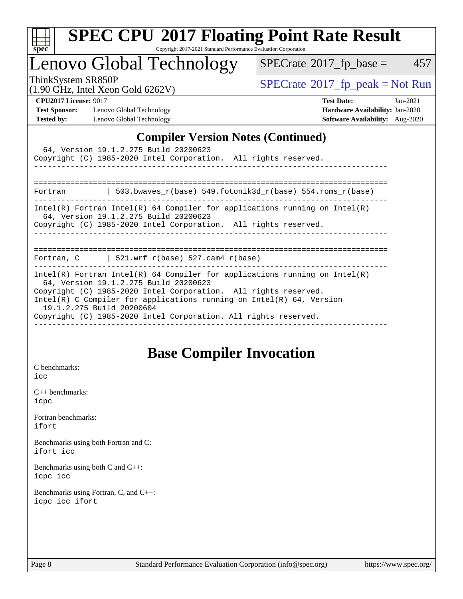

# **[SPEC CPU](http://www.spec.org/auto/cpu2017/Docs/result-fields.html#SPECCPU2017FloatingPointRateResult)[2017 Floating Point Rate Result](http://www.spec.org/auto/cpu2017/Docs/result-fields.html#SPECCPU2017FloatingPointRateResult)**

Copyright 2017-2021 Standard Performance Evaluation Corporation

Lenovo Global Technology

 $SPECTate@2017_fp\_base = 457$ 

ThinkSystem SR850P<br>(1.90 GHz, Intel Xeon Gold 6262V)

 $SPECTate@2017<sub>fr</sub> peak = Not Run$ 

**[Test Sponsor:](http://www.spec.org/auto/cpu2017/Docs/result-fields.html#TestSponsor)** Lenovo Global Technology **[Hardware Availability:](http://www.spec.org/auto/cpu2017/Docs/result-fields.html#HardwareAvailability)** Jan-2020 **[Tested by:](http://www.spec.org/auto/cpu2017/Docs/result-fields.html#Testedby)** Lenovo Global Technology **[Software Availability:](http://www.spec.org/auto/cpu2017/Docs/result-fields.html#SoftwareAvailability)** Aug-2020

**[CPU2017 License:](http://www.spec.org/auto/cpu2017/Docs/result-fields.html#CPU2017License)** 9017 **[Test Date:](http://www.spec.org/auto/cpu2017/Docs/result-fields.html#TestDate)** Jan-2021

## **[Compiler Version Notes \(Continued\)](http://www.spec.org/auto/cpu2017/Docs/result-fields.html#CompilerVersionNotes)**

| 64, Version 19.1.2.275 Build 20200623<br>Copyright (C) 1985-2020 Intel Corporation. All rights reserved.<br>_________________________________                                                                                                                                                                                                                     |  |
|-------------------------------------------------------------------------------------------------------------------------------------------------------------------------------------------------------------------------------------------------------------------------------------------------------------------------------------------------------------------|--|
| Fortran $\vert$ 503.bwaves r(base) 549.fotonik3d r(base) 554.roms r(base)                                                                                                                                                                                                                                                                                         |  |
| Intel(R) Fortran Intel(R) 64 Compiler for applications running on Intel(R)<br>64, Version 19.1.2.275 Build 20200623<br>Copyright (C) 1985-2020 Intel Corporation. All rights reserved.<br>=======================                                                                                                                                                 |  |
| Fortran, $C$   521.wrf_r(base) 527.cam4_r(base)                                                                                                                                                                                                                                                                                                                   |  |
| Intel(R) Fortran Intel(R) 64 Compiler for applications running on Intel(R)<br>64, Version 19.1.2.275 Build 20200623<br>Copyright (C) 1985-2020 Intel Corporation. All rights reserved.<br>Intel(R) C Compiler for applications running on Intel(R) $64$ , Version<br>19.1.2.275 Build 20200604<br>Copyright (C) 1985-2020 Intel Corporation. All rights reserved. |  |

## **[Base Compiler Invocation](http://www.spec.org/auto/cpu2017/Docs/result-fields.html#BaseCompilerInvocation)**

[C benchmarks](http://www.spec.org/auto/cpu2017/Docs/result-fields.html#Cbenchmarks): [icc](http://www.spec.org/cpu2017/results/res2021q1/cpu2017-20210118-24840.flags.html#user_CCbase_intel_icc_66fc1ee009f7361af1fbd72ca7dcefbb700085f36577c54f309893dd4ec40d12360134090235512931783d35fd58c0460139e722d5067c5574d8eaf2b3e37e92)

[C++ benchmarks:](http://www.spec.org/auto/cpu2017/Docs/result-fields.html#CXXbenchmarks) [icpc](http://www.spec.org/cpu2017/results/res2021q1/cpu2017-20210118-24840.flags.html#user_CXXbase_intel_icpc_c510b6838c7f56d33e37e94d029a35b4a7bccf4766a728ee175e80a419847e808290a9b78be685c44ab727ea267ec2f070ec5dc83b407c0218cded6866a35d07)

[Fortran benchmarks](http://www.spec.org/auto/cpu2017/Docs/result-fields.html#Fortranbenchmarks): [ifort](http://www.spec.org/cpu2017/results/res2021q1/cpu2017-20210118-24840.flags.html#user_FCbase_intel_ifort_8111460550e3ca792625aed983ce982f94888b8b503583aa7ba2b8303487b4d8a21a13e7191a45c5fd58ff318f48f9492884d4413fa793fd88dd292cad7027ca)

[Benchmarks using both Fortran and C](http://www.spec.org/auto/cpu2017/Docs/result-fields.html#BenchmarksusingbothFortranandC): [ifort](http://www.spec.org/cpu2017/results/res2021q1/cpu2017-20210118-24840.flags.html#user_CC_FCbase_intel_ifort_8111460550e3ca792625aed983ce982f94888b8b503583aa7ba2b8303487b4d8a21a13e7191a45c5fd58ff318f48f9492884d4413fa793fd88dd292cad7027ca) [icc](http://www.spec.org/cpu2017/results/res2021q1/cpu2017-20210118-24840.flags.html#user_CC_FCbase_intel_icc_66fc1ee009f7361af1fbd72ca7dcefbb700085f36577c54f309893dd4ec40d12360134090235512931783d35fd58c0460139e722d5067c5574d8eaf2b3e37e92)

[Benchmarks using both C and C++](http://www.spec.org/auto/cpu2017/Docs/result-fields.html#BenchmarksusingbothCandCXX): [icpc](http://www.spec.org/cpu2017/results/res2021q1/cpu2017-20210118-24840.flags.html#user_CC_CXXbase_intel_icpc_c510b6838c7f56d33e37e94d029a35b4a7bccf4766a728ee175e80a419847e808290a9b78be685c44ab727ea267ec2f070ec5dc83b407c0218cded6866a35d07) [icc](http://www.spec.org/cpu2017/results/res2021q1/cpu2017-20210118-24840.flags.html#user_CC_CXXbase_intel_icc_66fc1ee009f7361af1fbd72ca7dcefbb700085f36577c54f309893dd4ec40d12360134090235512931783d35fd58c0460139e722d5067c5574d8eaf2b3e37e92)

[Benchmarks using Fortran, C, and C++:](http://www.spec.org/auto/cpu2017/Docs/result-fields.html#BenchmarksusingFortranCandCXX) [icpc](http://www.spec.org/cpu2017/results/res2021q1/cpu2017-20210118-24840.flags.html#user_CC_CXX_FCbase_intel_icpc_c510b6838c7f56d33e37e94d029a35b4a7bccf4766a728ee175e80a419847e808290a9b78be685c44ab727ea267ec2f070ec5dc83b407c0218cded6866a35d07) [icc](http://www.spec.org/cpu2017/results/res2021q1/cpu2017-20210118-24840.flags.html#user_CC_CXX_FCbase_intel_icc_66fc1ee009f7361af1fbd72ca7dcefbb700085f36577c54f309893dd4ec40d12360134090235512931783d35fd58c0460139e722d5067c5574d8eaf2b3e37e92) [ifort](http://www.spec.org/cpu2017/results/res2021q1/cpu2017-20210118-24840.flags.html#user_CC_CXX_FCbase_intel_ifort_8111460550e3ca792625aed983ce982f94888b8b503583aa7ba2b8303487b4d8a21a13e7191a45c5fd58ff318f48f9492884d4413fa793fd88dd292cad7027ca)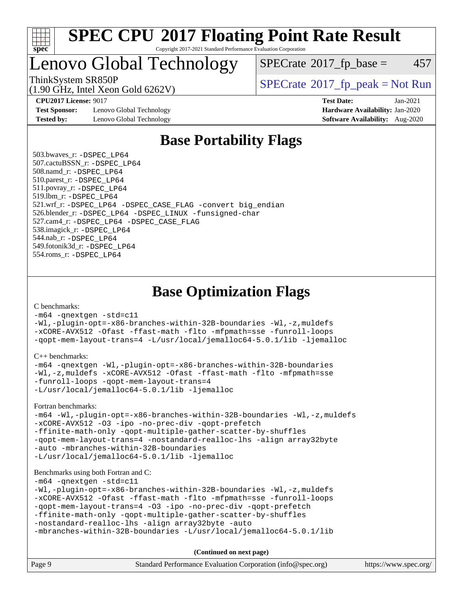

Lenovo Global Technology

 $SPECTate$ <sup>®</sup>[2017\\_fp\\_base =](http://www.spec.org/auto/cpu2017/Docs/result-fields.html#SPECrate2017fpbase) 457

ThinkSystem SR850P<br>(1.90 GHz, Intel Xeon Gold 6262V)

 $SPECTate$ <sup>®</sup>[2017\\_fp\\_peak = N](http://www.spec.org/auto/cpu2017/Docs/result-fields.html#SPECrate2017fppeak)ot Run

**[Test Sponsor:](http://www.spec.org/auto/cpu2017/Docs/result-fields.html#TestSponsor)** Lenovo Global Technology **[Hardware Availability:](http://www.spec.org/auto/cpu2017/Docs/result-fields.html#HardwareAvailability)** Jan-2020 **[Tested by:](http://www.spec.org/auto/cpu2017/Docs/result-fields.html#Testedby)** Lenovo Global Technology **[Software Availability:](http://www.spec.org/auto/cpu2017/Docs/result-fields.html#SoftwareAvailability)** Aug-2020

**[CPU2017 License:](http://www.spec.org/auto/cpu2017/Docs/result-fields.html#CPU2017License)** 9017 **[Test Date:](http://www.spec.org/auto/cpu2017/Docs/result-fields.html#TestDate)** Jan-2021

## **[Base Portability Flags](http://www.spec.org/auto/cpu2017/Docs/result-fields.html#BasePortabilityFlags)**

 503.bwaves\_r: [-DSPEC\\_LP64](http://www.spec.org/cpu2017/results/res2021q1/cpu2017-20210118-24840.flags.html#suite_basePORTABILITY503_bwaves_r_DSPEC_LP64) 507.cactuBSSN\_r: [-DSPEC\\_LP64](http://www.spec.org/cpu2017/results/res2021q1/cpu2017-20210118-24840.flags.html#suite_basePORTABILITY507_cactuBSSN_r_DSPEC_LP64) 508.namd\_r: [-DSPEC\\_LP64](http://www.spec.org/cpu2017/results/res2021q1/cpu2017-20210118-24840.flags.html#suite_basePORTABILITY508_namd_r_DSPEC_LP64) 510.parest\_r: [-DSPEC\\_LP64](http://www.spec.org/cpu2017/results/res2021q1/cpu2017-20210118-24840.flags.html#suite_basePORTABILITY510_parest_r_DSPEC_LP64) 511.povray\_r: [-DSPEC\\_LP64](http://www.spec.org/cpu2017/results/res2021q1/cpu2017-20210118-24840.flags.html#suite_basePORTABILITY511_povray_r_DSPEC_LP64) 519.lbm\_r: [-DSPEC\\_LP64](http://www.spec.org/cpu2017/results/res2021q1/cpu2017-20210118-24840.flags.html#suite_basePORTABILITY519_lbm_r_DSPEC_LP64) 521.wrf\_r: [-DSPEC\\_LP64](http://www.spec.org/cpu2017/results/res2021q1/cpu2017-20210118-24840.flags.html#suite_basePORTABILITY521_wrf_r_DSPEC_LP64) [-DSPEC\\_CASE\\_FLAG](http://www.spec.org/cpu2017/results/res2021q1/cpu2017-20210118-24840.flags.html#b521.wrf_r_baseCPORTABILITY_DSPEC_CASE_FLAG) [-convert big\\_endian](http://www.spec.org/cpu2017/results/res2021q1/cpu2017-20210118-24840.flags.html#user_baseFPORTABILITY521_wrf_r_convert_big_endian_c3194028bc08c63ac5d04de18c48ce6d347e4e562e8892b8bdbdc0214820426deb8554edfa529a3fb25a586e65a3d812c835984020483e7e73212c4d31a38223) 526.blender\_r: [-DSPEC\\_LP64](http://www.spec.org/cpu2017/results/res2021q1/cpu2017-20210118-24840.flags.html#suite_basePORTABILITY526_blender_r_DSPEC_LP64) [-DSPEC\\_LINUX](http://www.spec.org/cpu2017/results/res2021q1/cpu2017-20210118-24840.flags.html#b526.blender_r_baseCPORTABILITY_DSPEC_LINUX) [-funsigned-char](http://www.spec.org/cpu2017/results/res2021q1/cpu2017-20210118-24840.flags.html#user_baseCPORTABILITY526_blender_r_force_uchar_40c60f00ab013830e2dd6774aeded3ff59883ba5a1fc5fc14077f794d777847726e2a5858cbc7672e36e1b067e7e5c1d9a74f7176df07886a243d7cc18edfe67) 527.cam4\_r: [-DSPEC\\_LP64](http://www.spec.org/cpu2017/results/res2021q1/cpu2017-20210118-24840.flags.html#suite_basePORTABILITY527_cam4_r_DSPEC_LP64) [-DSPEC\\_CASE\\_FLAG](http://www.spec.org/cpu2017/results/res2021q1/cpu2017-20210118-24840.flags.html#b527.cam4_r_baseCPORTABILITY_DSPEC_CASE_FLAG) 538.imagick\_r: [-DSPEC\\_LP64](http://www.spec.org/cpu2017/results/res2021q1/cpu2017-20210118-24840.flags.html#suite_basePORTABILITY538_imagick_r_DSPEC_LP64) 544.nab\_r: [-DSPEC\\_LP64](http://www.spec.org/cpu2017/results/res2021q1/cpu2017-20210118-24840.flags.html#suite_basePORTABILITY544_nab_r_DSPEC_LP64) 549.fotonik3d\_r: [-DSPEC\\_LP64](http://www.spec.org/cpu2017/results/res2021q1/cpu2017-20210118-24840.flags.html#suite_basePORTABILITY549_fotonik3d_r_DSPEC_LP64) 554.roms\_r: [-DSPEC\\_LP64](http://www.spec.org/cpu2017/results/res2021q1/cpu2017-20210118-24840.flags.html#suite_basePORTABILITY554_roms_r_DSPEC_LP64)

**[Base Optimization Flags](http://www.spec.org/auto/cpu2017/Docs/result-fields.html#BaseOptimizationFlags)**

[C benchmarks](http://www.spec.org/auto/cpu2017/Docs/result-fields.html#Cbenchmarks):

[-m64](http://www.spec.org/cpu2017/results/res2021q1/cpu2017-20210118-24840.flags.html#user_CCbase_m64-icc) [-qnextgen](http://www.spec.org/cpu2017/results/res2021q1/cpu2017-20210118-24840.flags.html#user_CCbase_f-qnextgen) [-std=c11](http://www.spec.org/cpu2017/results/res2021q1/cpu2017-20210118-24840.flags.html#user_CCbase_std-icc-std_0e1c27790398a4642dfca32ffe6c27b5796f9c2d2676156f2e42c9c44eaad0c049b1cdb667a270c34d979996257aeb8fc440bfb01818dbc9357bd9d174cb8524) [-Wl,-plugin-opt=-x86-branches-within-32B-boundaries](http://www.spec.org/cpu2017/results/res2021q1/cpu2017-20210118-24840.flags.html#user_CCbase_f-x86-branches-within-32B-boundaries_0098b4e4317ae60947b7b728078a624952a08ac37a3c797dfb4ffeb399e0c61a9dd0f2f44ce917e9361fb9076ccb15e7824594512dd315205382d84209e912f3) [-Wl,-z,muldefs](http://www.spec.org/cpu2017/results/res2021q1/cpu2017-20210118-24840.flags.html#user_CCbase_link_force_multiple1_b4cbdb97b34bdee9ceefcfe54f4c8ea74255f0b02a4b23e853cdb0e18eb4525ac79b5a88067c842dd0ee6996c24547a27a4b99331201badda8798ef8a743f577) [-xCORE-AVX512](http://www.spec.org/cpu2017/results/res2021q1/cpu2017-20210118-24840.flags.html#user_CCbase_f-xCORE-AVX512) [-Ofast](http://www.spec.org/cpu2017/results/res2021q1/cpu2017-20210118-24840.flags.html#user_CCbase_f-Ofast) [-ffast-math](http://www.spec.org/cpu2017/results/res2021q1/cpu2017-20210118-24840.flags.html#user_CCbase_f-ffast-math) [-flto](http://www.spec.org/cpu2017/results/res2021q1/cpu2017-20210118-24840.flags.html#user_CCbase_f-flto) [-mfpmath=sse](http://www.spec.org/cpu2017/results/res2021q1/cpu2017-20210118-24840.flags.html#user_CCbase_f-mfpmath_70eb8fac26bde974f8ab713bc9086c5621c0b8d2f6c86f38af0bd7062540daf19db5f3a066d8c6684be05d84c9b6322eb3b5be6619d967835195b93d6c02afa1) [-funroll-loops](http://www.spec.org/cpu2017/results/res2021q1/cpu2017-20210118-24840.flags.html#user_CCbase_f-funroll-loops) [-qopt-mem-layout-trans=4](http://www.spec.org/cpu2017/results/res2021q1/cpu2017-20210118-24840.flags.html#user_CCbase_f-qopt-mem-layout-trans_fa39e755916c150a61361b7846f310bcdf6f04e385ef281cadf3647acec3f0ae266d1a1d22d972a7087a248fd4e6ca390a3634700869573d231a252c784941a8) [-L/usr/local/jemalloc64-5.0.1/lib](http://www.spec.org/cpu2017/results/res2021q1/cpu2017-20210118-24840.flags.html#user_CCbase_jemalloc_link_path64_1_cc289568b1a6c0fd3b62c91b824c27fcb5af5e8098e6ad028160d21144ef1b8aef3170d2acf0bee98a8da324cfe4f67d0a3d0c4cc4673d993d694dc2a0df248b) [-ljemalloc](http://www.spec.org/cpu2017/results/res2021q1/cpu2017-20210118-24840.flags.html#user_CCbase_jemalloc_link_lib_d1249b907c500fa1c0672f44f562e3d0f79738ae9e3c4a9c376d49f265a04b9c99b167ecedbf6711b3085be911c67ff61f150a17b3472be731631ba4d0471706)

[C++ benchmarks:](http://www.spec.org/auto/cpu2017/Docs/result-fields.html#CXXbenchmarks)

```
-m64 -qnextgen -Wl,-plugin-opt=-x86-branches-within-32B-boundaries
-Wl,-z,muldefs -xCORE-AVX512 -Ofast -ffast-math -flto -mfpmath=sse
-funroll-loops -qopt-mem-layout-trans=4
-L/usr/local/jemalloc64-5.0.1/lib -ljemalloc
```
[Fortran benchmarks](http://www.spec.org/auto/cpu2017/Docs/result-fields.html#Fortranbenchmarks):

[-m64](http://www.spec.org/cpu2017/results/res2021q1/cpu2017-20210118-24840.flags.html#user_FCbase_m64-icc) [-Wl,-plugin-opt=-x86-branches-within-32B-boundaries](http://www.spec.org/cpu2017/results/res2021q1/cpu2017-20210118-24840.flags.html#user_FCbase_f-x86-branches-within-32B-boundaries_0098b4e4317ae60947b7b728078a624952a08ac37a3c797dfb4ffeb399e0c61a9dd0f2f44ce917e9361fb9076ccb15e7824594512dd315205382d84209e912f3) [-Wl,-z,muldefs](http://www.spec.org/cpu2017/results/res2021q1/cpu2017-20210118-24840.flags.html#user_FCbase_link_force_multiple1_b4cbdb97b34bdee9ceefcfe54f4c8ea74255f0b02a4b23e853cdb0e18eb4525ac79b5a88067c842dd0ee6996c24547a27a4b99331201badda8798ef8a743f577) [-xCORE-AVX512](http://www.spec.org/cpu2017/results/res2021q1/cpu2017-20210118-24840.flags.html#user_FCbase_f-xCORE-AVX512) [-O3](http://www.spec.org/cpu2017/results/res2021q1/cpu2017-20210118-24840.flags.html#user_FCbase_f-O3) [-ipo](http://www.spec.org/cpu2017/results/res2021q1/cpu2017-20210118-24840.flags.html#user_FCbase_f-ipo) [-no-prec-div](http://www.spec.org/cpu2017/results/res2021q1/cpu2017-20210118-24840.flags.html#user_FCbase_f-no-prec-div) [-qopt-prefetch](http://www.spec.org/cpu2017/results/res2021q1/cpu2017-20210118-24840.flags.html#user_FCbase_f-qopt-prefetch) [-ffinite-math-only](http://www.spec.org/cpu2017/results/res2021q1/cpu2017-20210118-24840.flags.html#user_FCbase_f_finite_math_only_cb91587bd2077682c4b38af759c288ed7c732db004271a9512da14a4f8007909a5f1427ecbf1a0fb78ff2a814402c6114ac565ca162485bbcae155b5e4258871) [-qopt-multiple-gather-scatter-by-shuffles](http://www.spec.org/cpu2017/results/res2021q1/cpu2017-20210118-24840.flags.html#user_FCbase_f-qopt-multiple-gather-scatter-by-shuffles) [-qopt-mem-layout-trans=4](http://www.spec.org/cpu2017/results/res2021q1/cpu2017-20210118-24840.flags.html#user_FCbase_f-qopt-mem-layout-trans_fa39e755916c150a61361b7846f310bcdf6f04e385ef281cadf3647acec3f0ae266d1a1d22d972a7087a248fd4e6ca390a3634700869573d231a252c784941a8) [-nostandard-realloc-lhs](http://www.spec.org/cpu2017/results/res2021q1/cpu2017-20210118-24840.flags.html#user_FCbase_f_2003_std_realloc_82b4557e90729c0f113870c07e44d33d6f5a304b4f63d4c15d2d0f1fab99f5daaed73bdb9275d9ae411527f28b936061aa8b9c8f2d63842963b95c9dd6426b8a) [-align array32byte](http://www.spec.org/cpu2017/results/res2021q1/cpu2017-20210118-24840.flags.html#user_FCbase_align_array32byte_b982fe038af199962ba9a80c053b8342c548c85b40b8e86eb3cc33dee0d7986a4af373ac2d51c3f7cf710a18d62fdce2948f201cd044323541f22fc0fffc51b6) [-auto](http://www.spec.org/cpu2017/results/res2021q1/cpu2017-20210118-24840.flags.html#user_FCbase_f-auto) [-mbranches-within-32B-boundaries](http://www.spec.org/cpu2017/results/res2021q1/cpu2017-20210118-24840.flags.html#user_FCbase_f-mbranches-within-32B-boundaries) [-L/usr/local/jemalloc64-5.0.1/lib](http://www.spec.org/cpu2017/results/res2021q1/cpu2017-20210118-24840.flags.html#user_FCbase_jemalloc_link_path64_1_cc289568b1a6c0fd3b62c91b824c27fcb5af5e8098e6ad028160d21144ef1b8aef3170d2acf0bee98a8da324cfe4f67d0a3d0c4cc4673d993d694dc2a0df248b) [-ljemalloc](http://www.spec.org/cpu2017/results/res2021q1/cpu2017-20210118-24840.flags.html#user_FCbase_jemalloc_link_lib_d1249b907c500fa1c0672f44f562e3d0f79738ae9e3c4a9c376d49f265a04b9c99b167ecedbf6711b3085be911c67ff61f150a17b3472be731631ba4d0471706)

#### [Benchmarks using both Fortran and C](http://www.spec.org/auto/cpu2017/Docs/result-fields.html#BenchmarksusingbothFortranandC):

[-m64](http://www.spec.org/cpu2017/results/res2021q1/cpu2017-20210118-24840.flags.html#user_CC_FCbase_m64-icc) [-qnextgen](http://www.spec.org/cpu2017/results/res2021q1/cpu2017-20210118-24840.flags.html#user_CC_FCbase_f-qnextgen) [-std=c11](http://www.spec.org/cpu2017/results/res2021q1/cpu2017-20210118-24840.flags.html#user_CC_FCbase_std-icc-std_0e1c27790398a4642dfca32ffe6c27b5796f9c2d2676156f2e42c9c44eaad0c049b1cdb667a270c34d979996257aeb8fc440bfb01818dbc9357bd9d174cb8524)

```
-Wl,-plugin-opt=-x86-branches-within-32B-boundaries -Wl,-z,muldefs
-xCORE-AVX512 -Ofast -ffast-math -flto -mfpmath=sse -funroll-loops
-qopt-mem-layout-trans=4 -O3 -ipo -no-prec-div -qopt-prefetch
-ffinite-math-only -qopt-multiple-gather-scatter-by-shuffles
-nostandard-realloc-lhs -align array32byte -auto
```

```
-mbranches-within-32B-boundaries -L/usr/local/jemalloc64-5.0.1/lib
```
**(Continued on next page)**

| Page 9<br>Standard Performance Evaluation Corporation (info@spec.org)<br>https://www.spec.org/ |
|------------------------------------------------------------------------------------------------|
|------------------------------------------------------------------------------------------------|